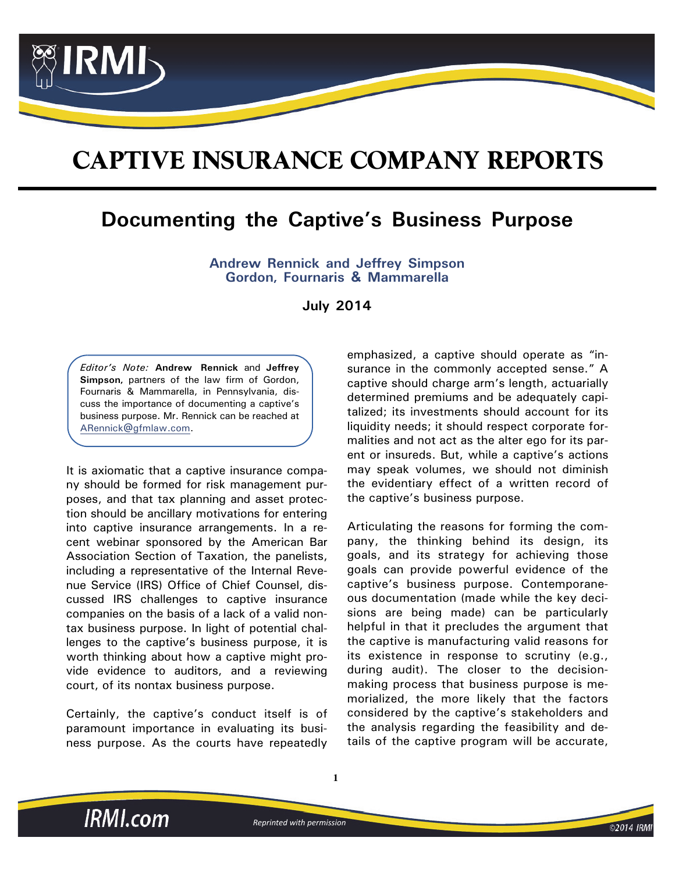

# **[CAPTIVE INSURANCE COMPANY REPORTS](https://www.irmi.com/products/captive-insurance-company-reports)**

## **Documenting the Captive's Business Purpose**

**Andrew Rennick and Jeffrey Simpson Gordon, Fournaris & Mammarella**

**July 2014**

*Editor's Note:* **Andrew Rennick** and **Jeffrey Simpson,** partners of the law firm of Gordon, Fournaris & Mammarella, in Pennsylvania, discuss the importance of documenting a captive's business purpose. Mr. Rennick can be reached at [ARennick@gfmlaw.com.](mailto:ARennick@gfmlaw.com)

It is axiomatic that a captive insurance company should be formed for risk management purposes, and that tax planning and asset protection should be ancillary motivations for entering into captive insurance arrangements. In a recent webinar sponsored by the American Bar Association Section of Taxation, the panelists, including a representative of the Internal Revenue Service (IRS) Office of Chief Counsel, discussed IRS challenges to captive insurance companies on the basis of a lack of a valid nontax business purpose. In light of potential challenges to the captive's business purpose, it is worth thinking about how a captive might provide evidence to auditors, and a reviewing court, of its nontax business purpose.

Certainly, the captive's conduct itself is of paramount importance in evaluating its business purpose. As the courts have repeatedly emphasized, a captive should operate as "insurance in the commonly accepted sense." A captive should charge arm's length, actuarially determined premiums and be adequately capitalized; its investments should account for its liquidity needs; it should respect corporate formalities and not act as the alter ego for its parent or insureds. But, while a captive's actions may speak volumes, we should not diminish the evidentiary effect of a written record of the captive's business purpose.

Articulating the reasons for forming the company, the thinking behind its design, its goals, and its strategy for achieving those goals can provide powerful evidence of the captive's business purpose. Contemporaneous documentation (made while the key decisions are being made) can be particularly helpful in that it precludes the argument that [the captive is manufacturing valid reasons for](mailto:mw@kirkwayintl.com) its existence in response to scrutiny (e.g., during audit). The closer to the decisionmaking process that business purpose is memorialized, the more likely that the factors considered by the captive's stakeholders and the analysis regarding the feasibility and de[tails of the captive program will be accurate,](mailto:mw@kirkwayintl.com)

**IRMI.com** 

*Reprinted with permission*

**1**

©2014 IRM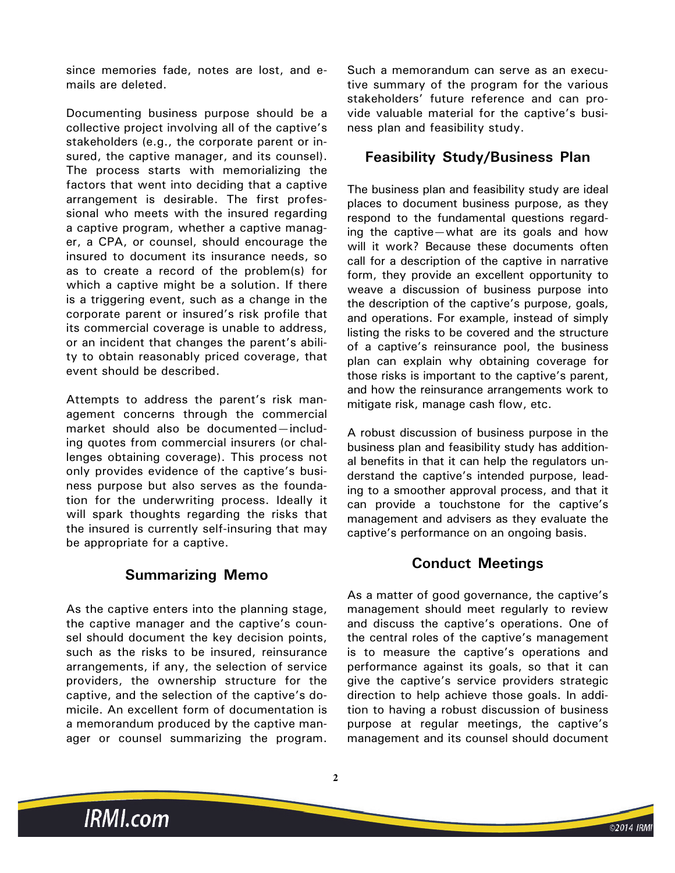[since memories fade, notes are lost, and e](mailto:mw@kirkwayintl.com)mails are deleted.

Documenting business purpose should be a collective project involving all of the captive's stakeholders (e.g., the corporate parent or insured, the captive manager, and its counsel). The process starts with memorializing the factors that went into deciding that a captive arrangement is desirable. The first professional who meets with the insured regarding a captive program, whether a captive manager, a CPA, or counsel, should encourage the insured to document its insurance needs, so as to create a record of the problem(s) for which a captive might be a solution. If there is a triggering event, such as a change in the corporate parent or insured's risk profile that its commercial coverage is unable to address, or an incident that changes the parent's ability to obtain reasonably priced coverage, that event should be described.

Attempts to address the parent's risk management concerns through the commercial market should also be documented—including quotes from commercial insurers (or challenges obtaining coverage). This process not only provides evidence of the captive's business purpose but also serves as the foundation for the underwriting process. Ideally it will spark thoughts regarding the risks that the insured is currently self-insuring that may be appropriate for a captive.

### **Summarizing Memo**

As the captive enters into the planning stage, the captive manager and the captive's counsel should document the key decision points, such as the risks to be insured, reinsurance arrangements, if any, the selection of service providers, the ownership structure for the captive, and the selection of the captive's domicile. An excellent form of documentation is a memorandum produced by the captive manager or counsel summarizing the program.

Such a memorandum can serve as an executive summary of the program for the various stakeholders' future reference and can provide valuable material for the captive's business plan and feasibility study.

#### **Feasibility Study/Business Plan**

The business plan and feasibility study are ideal places to document business purpose, as they respond to the fundamental questions regarding the captive—what are its goals and how will it work? Because these documents often call for a description of the captive in narrative form, they provide an excellent opportunity to weave a discussion of business purpose into the description of the captive's purpose, goals, and operations. For example, instead of simply listing the risks to be covered and the structure of a captive's reinsurance pool, the business plan can explain why obtaining coverage for those risks is important to the captive's parent, and how the reinsurance arrangements work to mitigate risk, manage cash flow, etc.

A robust discussion of business purpose in the business plan and feasibility study has additional benefits in that it can help the regulators understand the captive's intended purpose, leading to a smoother approval process, and that it can provide a touchstone for the captive's management and advisers as they evaluate the captive's performance on an ongoing basis.

#### **Conduct Meetings**

As a matter of good governance, the captive's management should meet regularly to review and discuss the captive's operations. One of the central roles of the captive's management is to measure the captive's operations and performance against its goals, so that it can give the captive's service providers strategic direction to help achieve those goals. In addition to having a robust discussion of business purpose at regular meetings, the captive's management and its counsel should document